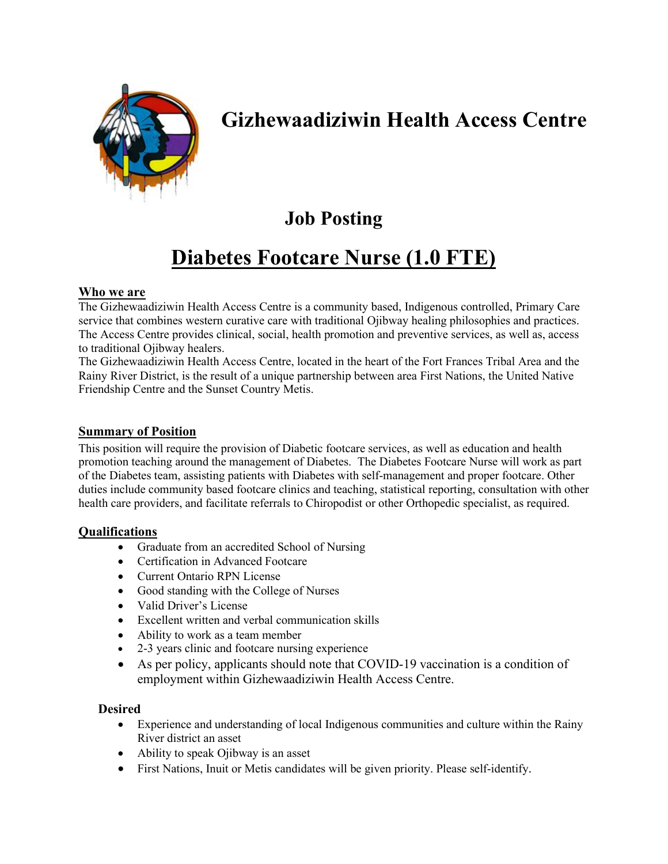

# **Gizhewaadiziwin Health Access Centre**

## **Job Posting**

# **Diabetes Footcare Nurse (1.0 FTE)**

### **Who we are**

The Gizhewaadiziwin Health Access Centre is a community based, Indigenous controlled, Primary Care service that combines western curative care with traditional Ojibway healing philosophies and practices. The Access Centre provides clinical, social, health promotion and preventive services, as well as, access to traditional Ojibway healers.

The Gizhewaadiziwin Health Access Centre, located in the heart of the Fort Frances Tribal Area and the Rainy River District, is the result of a unique partnership between area First Nations, the United Native Friendship Centre and the Sunset Country Metis.

#### **Summary of Position**

This position will require the provision of Diabetic footcare services, as well as education and health promotion teaching around the management of Diabetes. The Diabetes Footcare Nurse will work as part of the Diabetes team, assisting patients with Diabetes with self-management and proper footcare. Other duties include community based footcare clinics and teaching, statistical reporting, consultation with other health care providers, and facilitate referrals to Chiropodist or other Orthopedic specialist, as required.

#### **Qualifications**

- Graduate from an accredited School of Nursing
- Certification in Advanced Footcare
- Current Ontario RPN License
- Good standing with the College of Nurses
- Valid Driver's License
- Excellent written and verbal communication skills
- Ability to work as a team member
- 2-3 years clinic and footcare nursing experience
- As per policy, applicants should note that COVID-19 vaccination is a condition of employment within Gizhewaadiziwin Health Access Centre.

#### **Desired**

- Experience and understanding of local Indigenous communities and culture within the Rainy River district an asset
- Ability to speak Ojibway is an asset
- First Nations, Inuit or Metis candidates will be given priority. Please self-identify.